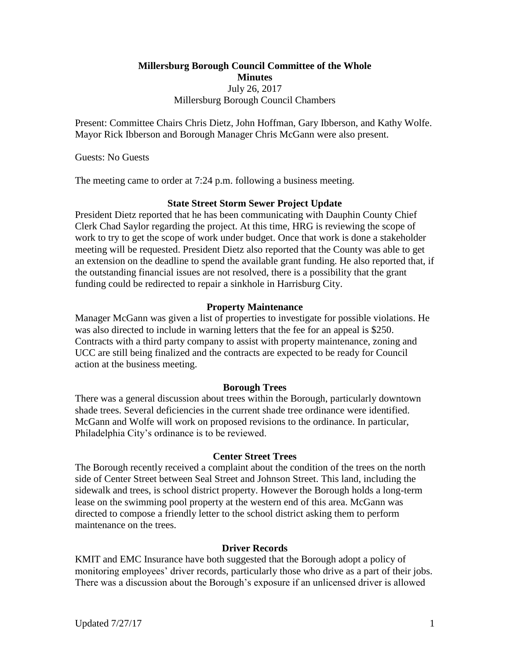# **Millersburg Borough Council Committee of the Whole Minutes** July 26, 2017 Millersburg Borough Council Chambers

Present: Committee Chairs Chris Dietz, John Hoffman, Gary Ibberson, and Kathy Wolfe. Mayor Rick Ibberson and Borough Manager Chris McGann were also present.

Guests: No Guests

The meeting came to order at 7:24 p.m. following a business meeting.

## **State Street Storm Sewer Project Update**

President Dietz reported that he has been communicating with Dauphin County Chief Clerk Chad Saylor regarding the project. At this time, HRG is reviewing the scope of work to try to get the scope of work under budget. Once that work is done a stakeholder meeting will be requested. President Dietz also reported that the County was able to get an extension on the deadline to spend the available grant funding. He also reported that, if the outstanding financial issues are not resolved, there is a possibility that the grant funding could be redirected to repair a sinkhole in Harrisburg City.

## **Property Maintenance**

Manager McGann was given a list of properties to investigate for possible violations. He was also directed to include in warning letters that the fee for an appeal is \$250. Contracts with a third party company to assist with property maintenance, zoning and UCC are still being finalized and the contracts are expected to be ready for Council action at the business meeting.

#### **Borough Trees**

There was a general discussion about trees within the Borough, particularly downtown shade trees. Several deficiencies in the current shade tree ordinance were identified. McGann and Wolfe will work on proposed revisions to the ordinance. In particular, Philadelphia City's ordinance is to be reviewed.

#### **Center Street Trees**

The Borough recently received a complaint about the condition of the trees on the north side of Center Street between Seal Street and Johnson Street. This land, including the sidewalk and trees, is school district property. However the Borough holds a long-term lease on the swimming pool property at the western end of this area. McGann was directed to compose a friendly letter to the school district asking them to perform maintenance on the trees.

#### **Driver Records**

KMIT and EMC Insurance have both suggested that the Borough adopt a policy of monitoring employees' driver records, particularly those who drive as a part of their jobs. There was a discussion about the Borough's exposure if an unlicensed driver is allowed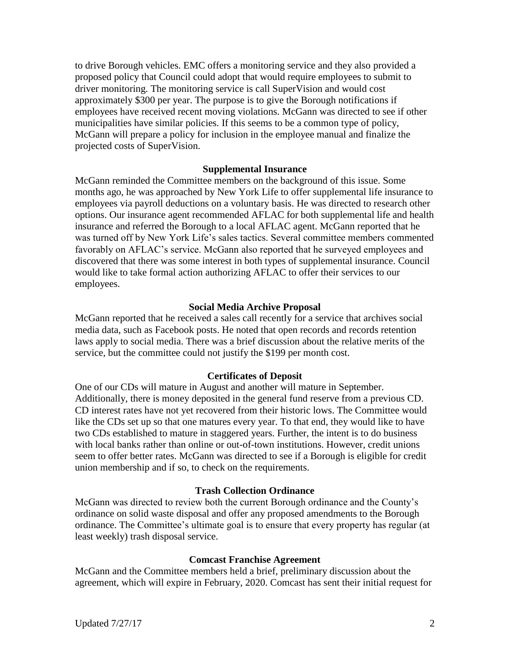to drive Borough vehicles. EMC offers a monitoring service and they also provided a proposed policy that Council could adopt that would require employees to submit to driver monitoring. The monitoring service is call SuperVision and would cost approximately \$300 per year. The purpose is to give the Borough notifications if employees have received recent moving violations. McGann was directed to see if other municipalities have similar policies. If this seems to be a common type of policy, McGann will prepare a policy for inclusion in the employee manual and finalize the projected costs of SuperVision.

### **Supplemental Insurance**

McGann reminded the Committee members on the background of this issue. Some months ago, he was approached by New York Life to offer supplemental life insurance to employees via payroll deductions on a voluntary basis. He was directed to research other options. Our insurance agent recommended AFLAC for both supplemental life and health insurance and referred the Borough to a local AFLAC agent. McGann reported that he was turned off by New York Life's sales tactics. Several committee members commented favorably on AFLAC's service. McGann also reported that he surveyed employees and discovered that there was some interest in both types of supplemental insurance. Council would like to take formal action authorizing AFLAC to offer their services to our employees.

### **Social Media Archive Proposal**

McGann reported that he received a sales call recently for a service that archives social media data, such as Facebook posts. He noted that open records and records retention laws apply to social media. There was a brief discussion about the relative merits of the service, but the committee could not justify the \$199 per month cost.

#### **Certificates of Deposit**

One of our CDs will mature in August and another will mature in September. Additionally, there is money deposited in the general fund reserve from a previous CD. CD interest rates have not yet recovered from their historic lows. The Committee would like the CDs set up so that one matures every year. To that end, they would like to have two CDs established to mature in staggered years. Further, the intent is to do business with local banks rather than online or out-of-town institutions. However, credit unions seem to offer better rates. McGann was directed to see if a Borough is eligible for credit union membership and if so, to check on the requirements.

### **Trash Collection Ordinance**

McGann was directed to review both the current Borough ordinance and the County's ordinance on solid waste disposal and offer any proposed amendments to the Borough ordinance. The Committee's ultimate goal is to ensure that every property has regular (at least weekly) trash disposal service.

#### **Comcast Franchise Agreement**

McGann and the Committee members held a brief, preliminary discussion about the agreement, which will expire in February, 2020. Comcast has sent their initial request for